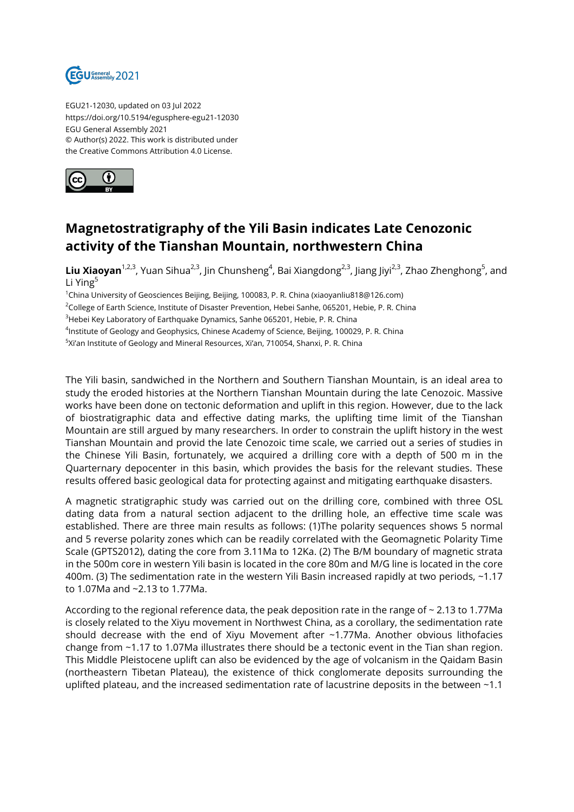

EGU21-12030, updated on 03 Jul 2022 https://doi.org/10.5194/egusphere-egu21-12030 EGU General Assembly 2021 © Author(s) 2022. This work is distributed under the Creative Commons Attribution 4.0 License.



## **Magnetostratigraphy of the Yili Basin indicates Late Cenozonic activity of the Tianshan Mountain, northwestern China**

**Liu Xiaoyan**<sup>1,2,3</sup>, Yuan Sihua<sup>2,3</sup>, Jin Chunsheng<sup>4</sup>, Bai Xiangdong<sup>2,3</sup>, Jiang Jiyi<sup>2,3</sup>, Zhao Zhenghong<sup>5</sup>, and Li Ying<sup>5</sup>

<sup>1</sup>China University of Geosciences Beijing, Beijing, 100083, P. R. China (xiaoyanliu818@126.com)

<sup>2</sup>College of Earth Science, Institute of Disaster Prevention, Hebei Sanhe, 065201, Hebie, P. R. China

<sup>3</sup>Hebei Key Laboratory of Earthquake Dynamics, Sanhe 065201, Hebie, P. R. China

 $^4$ Institute of Geology and Geophysics, Chinese Academy of Science, Beijing, 100029, P. R. China

 $^5$ Xi'an Institute of Geology and Mineral Resources, Xi'an, 710054, Shanxi, P. R. China

The Yili basin, sandwiched in the Northern and Southern Tianshan Mountain, is an ideal area to study the eroded histories at the Northern Tianshan Mountain during the late Cenozoic. Massive works have been done on tectonic deformation and uplift in this region. However, due to the lack of biostratigraphic data and effective dating marks, the uplifting time limit of the Tianshan Mountain are still argued by many researchers. In order to constrain the uplift history in the west Tianshan Mountain and provid the late Cenozoic time scale, we carried out a series of studies in the Chinese Yili Basin, fortunately, we acquired a drilling core with a depth of 500 m in the Quarternary depocenter in this basin, which provides the basis for the relevant studies. These results offered basic geological data for protecting against and mitigating earthquake disasters.

A magnetic stratigraphic study was carried out on the drilling core, combined with three OSL dating data from a natural section adjacent to the drilling hole, an effective time scale was established. There are three main results as follows: (1)The polarity sequences shows 5 normal and 5 reverse polarity zones which can be readily correlated with the Geomagnetic Polarity Time Scale (GPTS2012), dating the core from 3.11Ma to 12Ka. (2) The B/M boundary of magnetic strata in the 500m core in western Yili basin is located in the core 80m and M/G line is located in the core 400m. (3) The sedimentation rate in the western Yili Basin increased rapidly at two periods, ~1.17 to 1.07Ma and ~2.13 to 1.77Ma.

According to the regional reference data, the peak deposition rate in the range of ~ 2.13 to 1.77Ma is closely related to the Xiyu movement in Northwest China, as a corollary, the sedimentation rate should decrease with the end of Xiyu Movement after  $\sim$ 1.77Ma. Another obvious lithofacies change from ~1.17 to 1.07Ma illustrates there should be a tectonic event in the Tian shan region. This Middle Pleistocene uplift can also be evidenced by the age of volcanism in the Qaidam Basin (northeastern Tibetan Plateau), the existence of thick conglomerate deposits surrounding the uplifted plateau, and the increased sedimentation rate of lacustrine deposits in the between ~1.1